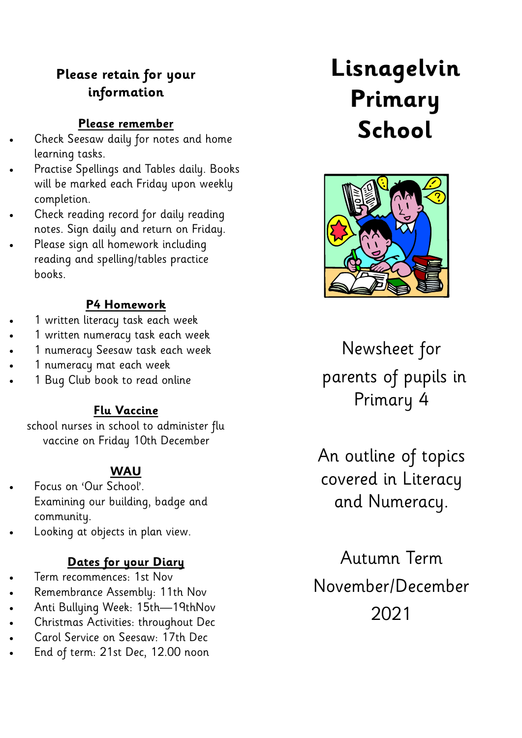#### **Please retain for your information**

#### **Please remember**

- Check Seesaw daily for notes and home learning tasks.
- Practise Spellings and Tables daily. Books will be marked each Friday upon weekly completion.
- Check reading record for daily reading notes. Sign daily and return on Friday.
- Please sign all homework including reading and spelling/tables practice books.

#### **P4 Homework**

- 1 written literacy task each week
- 1 written numeracy task each week
- 1 numeracy Seesaw task each week
- 1 numeracy mat each week
- 1 Bug Club book to read online

#### **Flu Vaccine**

school nurses in school to administer flu vaccine on Friday 10th December

#### **WAU**

- Focus on 'Our School'. Examining our building, badge and community.
- Looking at objects in plan view.

#### **Dates for your Diary**

- Term recommences: 1st Nov
- Remembrance Assembly: 11th Nov
- Anti Bullying Week: 15th—19thNov
- Christmas Activities: throughout Dec
- Carol Service on Seesaw: 17th Dec
- End of term: 21st Dec, 12.00 noon

# **Lisnagelvin Primary School**



Newsheet for parents of pupils in Primary 4

An outline of topics covered in Literacy and Numeracy.

Autumn Term November/December 2021